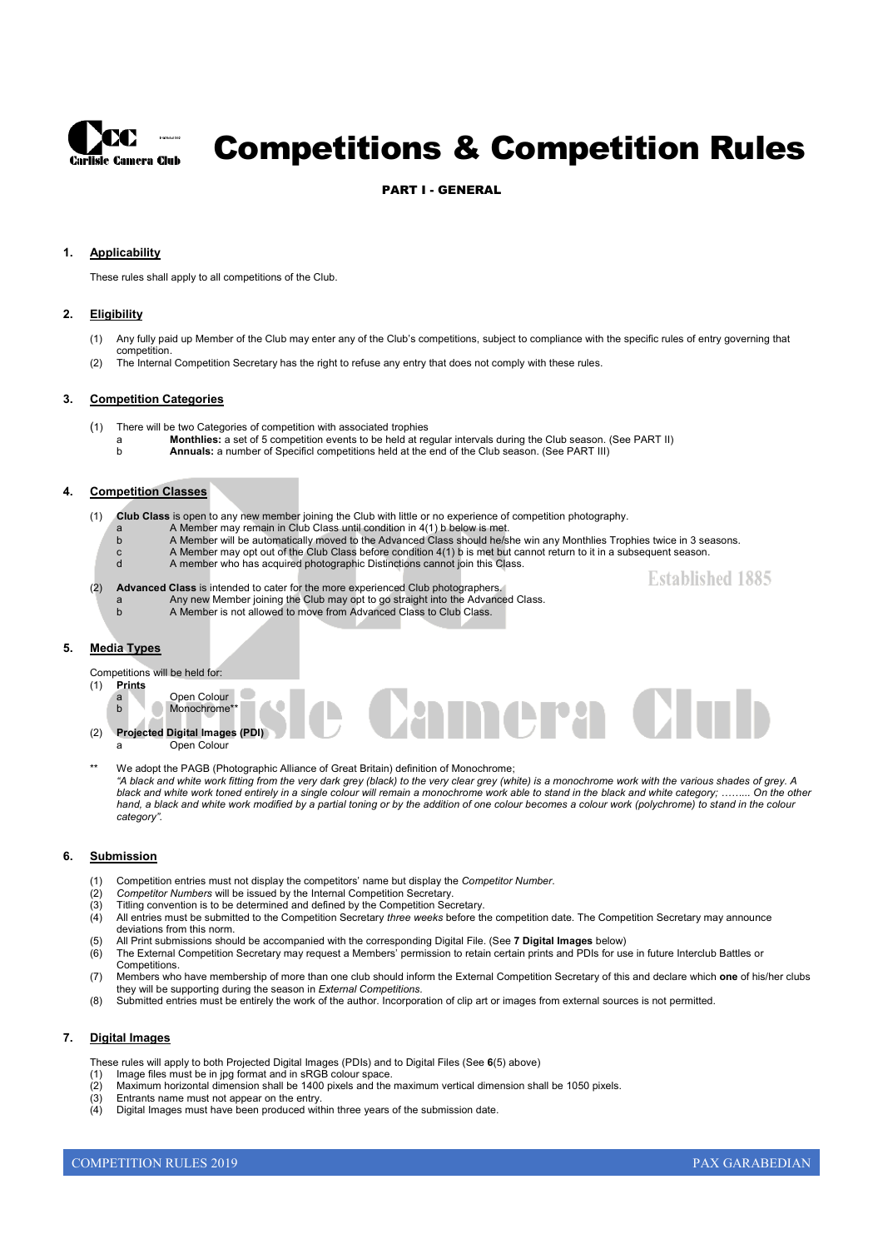

# Competitions & Competition Rules

#### PART I - GENERAL

#### **1. Applicability**

These rules shall apply to all competitions of the Club.

#### **2. Eligibility**

- (1) Any fully paid up Member of the Club may enter any of the Club's competitions, subject to compliance with the specific rules of entry governing that
- (2) The Internal Competition Secretary has the right to refuse any entry that does not comply with these rules.

#### **3. Competition Categories**

competition.

- (1) There will be two Categories of competition with associated trophies
	- a **Monthlies:** a set of 5 competition events to be held at regular intervals during the Club season. (See PART II)
	- b **Annuals:** a number of Specificl competitions held at the end of the Club season. (See PART III)

#### **4. Competition Classes**

(1) **Club Class** is open to any new member joining the Club with little or no experience of competition photography.

- a A Member may remain in Club Class until condition in 4(1) b below is met.
	- b A Member will be automatically moved to the Advanced Class should he/she win any Monthlies Trophies twice in 3 seasons.
- c A Member may opt out of the Club Class before condition 4(1) b is met but cannot return to it in a subsequent season.
- d A member who has acquired photographic Distinctions cannot join this Class.
- (2) **Advanced Class** is intended to cater for the more experienced Club photographers.
	- a Any new Member joining the Club may opt to go straight into the Advanced Class.
	- A Member is not allowed to move from Advanced Class to Club Class.

#### **5. Media Types**

Competitions will be held for:

#### (1) **Prints**

b Monochrome\* (2) **Projected Digital Images (PDI)**

Open Colour

- Open Colour
- We adopt the PAGB (Photographic Alliance of Great Britain) definition of Monochrome; *"A black and white work fitting from the very dark grey (black) to the very clear grey (white) is a monochrome work with the various shades of grey. A black and white work toned entirely in a single colour will remain a monochrome work able to stand in the black and white category; ……... On the other*  hand, a black and white work modified by a partial toning or by the addition of one colour becomes a colour work (polychrome) to stand in the colour *category".*

**P.A.** 

#### **6. Submission**

- (1) Competition entries must not display the competitors' name but display the *Competitor Number*.
- (2) *Competitor Numbers* will be issued by the Internal Competition Secretary.
- (3) Titling convention is to be determined and defined by the Competition Secretary.
- (4) All entries must be submitted to the Competition Secretary *three weeks* before the competition date. The Competition Secretary may announce deviations from this norm.
- (5) All Print submissions should be accompanied with the corresponding Digital File. (See **7 Digital Images** below)
- (6) The External Competition Secretary may request a Members' permission to retain certain prints and PDIs for use in future Interclub Battles or
- **Competitions**
- (7) Members who have membership of more than one club should inform the External Competition Secretary of this and declare which **one** of his/her clubs they will be supporting during the season in *External Competitions.*
- (8) Submitted entries must be entirely the work of the author. Incorporation of clip art or images from external sources is not permitted.

#### **7. Digital Images**

- These rules will apply to both Projected Digital Images (PDIs) and to Digital Files (See **6**(5) above)
- (1) Image files must be in jpg format and in sRGB colour space.
- (2) Maximum horizontal dimension shall be 1400 pixels and the maximum vertical dimension shall be 1050 pixels.
- (3) Entrants name must not appear on the entry.
- (4) Digital Images must have been produced within three years of the submission date.

**Established 1885**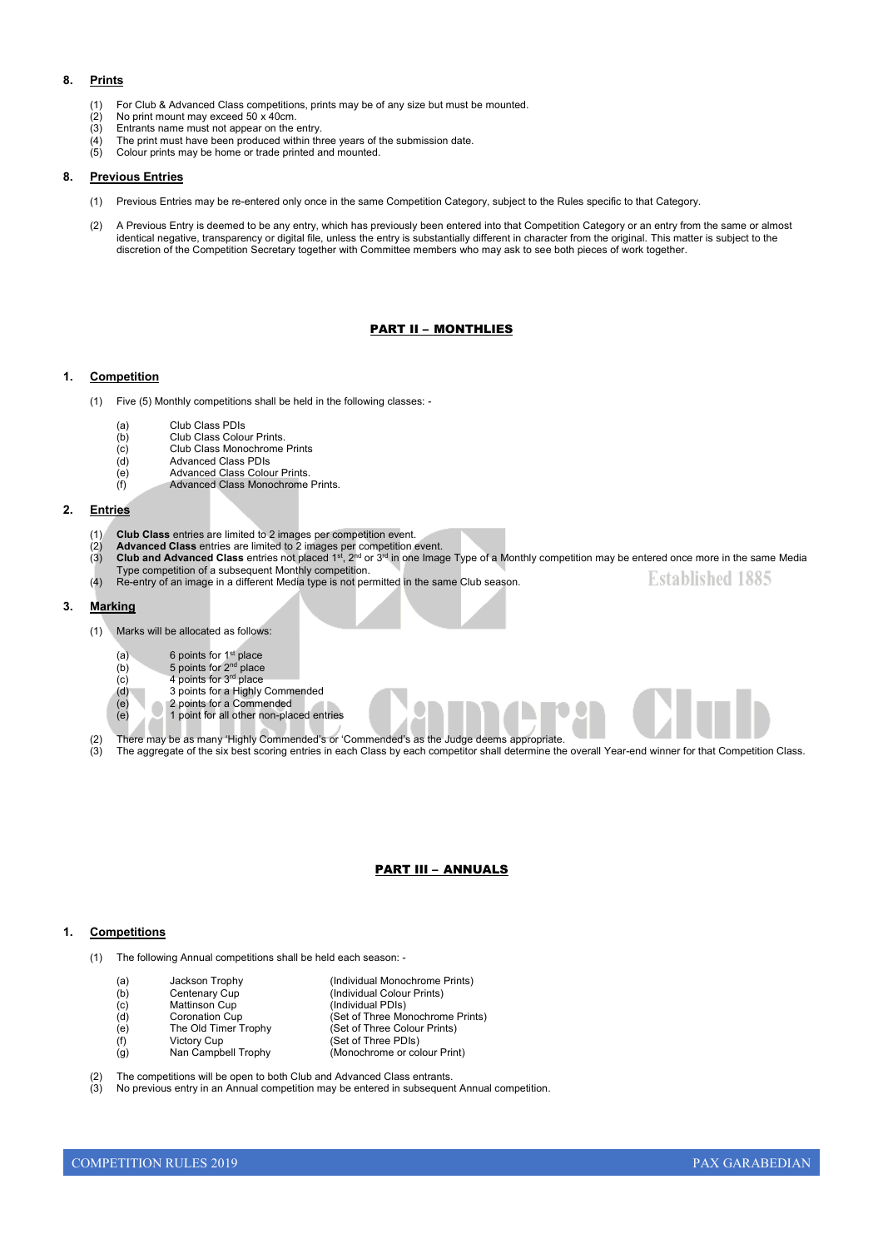#### **8. Prints**

- (1) For Club & Advanced Class competitions, prints may be of any size but must be mounted.
- $(2)$  No print mount may exceed 50 x 40cm.<br>(3) Entrants name must not appear on the
- Entrants name must not appear on the entry.
- $\overrightarrow{A}$  The print must have been produced within three years of the submission date.<br>(5) Colour prints may be home or trade printed and mounted. Colour prints may be home or trade printed and mounted.

#### **8. Previous Entries**

- (1) Previous Entries may be re-entered only once in the same Competition Category, subject to the Rules specific to that Category.
- (2) A Previous Entry is deemed to be any entry, which has previously been entered into that Competition Category or an entry from the same or almost identical negative, transparency or digital file, unless the entry is substantially different in character from the original. This matter is subject to the discretion of the Competition Secretary together with Committee members who may ask to see both pieces of work together.

#### PART II – MONTHLIES

#### **1. Competition**

- (1) Five (5) Monthly competitions shall be held in the following classes:
	- (a) Club Class PDIs
	- (b) Club Class Colour Prints.<br>
	(c) Club Class Monochrome
	- (c) Club Class Monochrome Prints<br>
	(d) Advanced Class PDIs
	- (d) Advanced Class PDIs<br>
	(e) Advanced Class Color<br>
	(f) Advanced Class Mong
	- (e) Advanced Class Colour Prints. (f) Advanced Class Monochrome Prints.
- **2. Entries**
	- (1) **Club Class** entries are limited to 2 images per competition event.
		-
	- (2) **Advanced Class** entries are limited to 2 images per competition event.<br>(3) **Club and Advanced Class** entries not placed 1s<sup>t</sup>, 2<sup>nd</sup> or 3<sup>rd</sup> in one Image Type of a Monthly competition may be entered once more in t Type competition of a subsequent Monthly competition. **Established 1885**
	- (4) Re-entry of an image in a different Media type is not permitted in the same Club season.

#### **3. Marking**

- (1) Marks will be allocated as follows:
	- $(a)$  6 points for 1<sup>st</sup> place
	- (b)  $5$  points for  $2<sup>nd</sup>$  place
	- $(c)$  4 points for  $3<sup>rd</sup>$  place
	- (d) 3 points for a Highly Commended<br>
	(e) 2 points for a Commended<br>
	(e) 1 point for all other non-placed en
		- 2 points for a Commended 1 point for all other non-placed entries
	-
- (2) There may be as many 'Highly Commended's or 'Commended's as the Judge deems appropriate.
- (3) The aggregate of the six best scoring entries in each Class by each competitor shall determine the overall Year-end winner for that Competition Class.

#### PART III – ANNUALS

#### **1. Competitions**

- (1) The following Annual competitions shall be held each season:
	- (a) Jackson Trophy (Individual Monochrome Prints) (b) Centenary Cup (Individual Colour Prints) (c) Mattinson Cup (Individual PDIs)<br>
	(d) Coronation Cup (Set of Three Mo (d) Coronation Cup (Set of Three Monochrome Prints)<br>(e) The Old Timer Trophy (Set of Three Colour Prints) (e) The Old Timer Trophy (Set of Three Colour Prints)<br>
	(f) Victory Cup (Set of Three Colour Prints) Victory Cup (Set of Three PDIs)<br>
	Nan Campbell Trophy (Monochrome or co (g) Nan Campbell Trophy (Monochrome or colour Print)

The competitions will be open to both Club and Advanced Class entrants.

(3) No previous entry in an Annual competition may be entered in subsequent Annual competition.